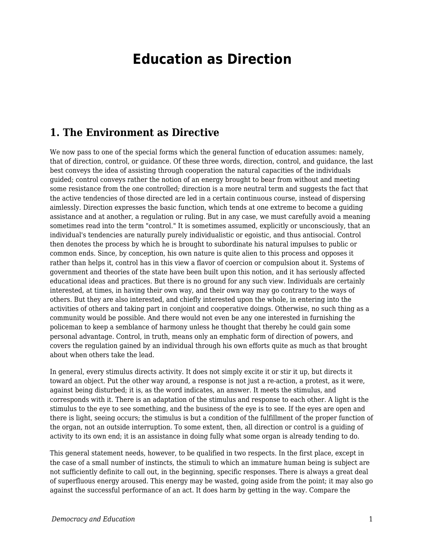# **Education as Direction**

#### **1. The Environment as Directive**

We now pass to one of the special forms which the general function of education assumes: namely, that of direction, control, or guidance. Of these three words, direction, control, and guidance, the last best conveys the idea of assisting through cooperation the natural capacities of the individuals guided; control conveys rather the notion of an energy brought to bear from without and meeting some resistance from the one controlled; direction is a more neutral term and suggests the fact that the active tendencies of those directed are led in a certain continuous course, instead of dispersing aimlessly. Direction expresses the basic function, which tends at one extreme to become a guiding assistance and at another, a regulation or ruling. But in any case, we must carefully avoid a meaning sometimes read into the term "control." It is sometimes assumed, explicitly or unconsciously, that an individual's tendencies are naturally purely individualistic or egoistic, and thus antisocial. Control then denotes the process by which he is brought to subordinate his natural impulses to public or common ends. Since, by conception, his own nature is quite alien to this process and opposes it rather than helps it, control has in this view a flavor of coercion or compulsion about it. Systems of government and theories of the state have been built upon this notion, and it has seriously affected educational ideas and practices. But there is no ground for any such view. Individuals are certainly interested, at times, in having their own way, and their own way may go contrary to the ways of others. But they are also interested, and chiefly interested upon the whole, in entering into the activities of others and taking part in conjoint and cooperative doings. Otherwise, no such thing as a community would be possible. And there would not even be any one interested in furnishing the policeman to keep a semblance of harmony unless he thought that thereby he could gain some personal advantage. Control, in truth, means only an emphatic form of direction of powers, and covers the regulation gained by an individual through his own efforts quite as much as that brought about when others take the lead.

In general, every stimulus directs activity. It does not simply excite it or stir it up, but directs it toward an object. Put the other way around, a response is not just a re-action, a protest, as it were, against being disturbed; it is, as the word indicates, an answer. It meets the stimulus, and corresponds with it. There is an adaptation of the stimulus and response to each other. A light is the stimulus to the eye to see something, and the business of the eye is to see. If the eyes are open and there is light, seeing occurs; the stimulus is but a condition of the fulfillment of the proper function of the organ, not an outside interruption. To some extent, then, all direction or control is a guiding of activity to its own end; it is an assistance in doing fully what some organ is already tending to do.

This general statement needs, however, to be qualified in two respects. In the first place, except in the case of a small number of instincts, the stimuli to which an immature human being is subject are not sufficiently definite to call out, in the beginning, specific responses. There is always a great deal of superfluous energy aroused. This energy may be wasted, going aside from the point; it may also go against the successful performance of an act. It does harm by getting in the way. Compare the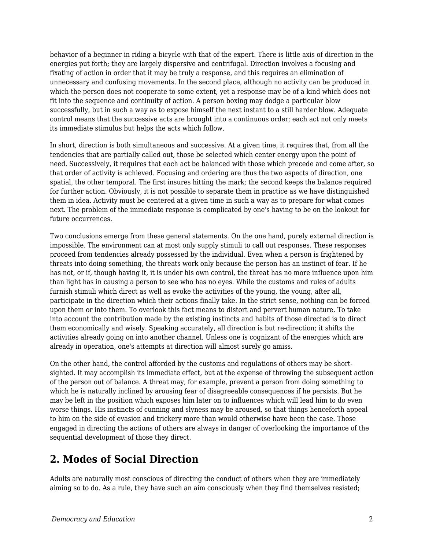behavior of a beginner in riding a bicycle with that of the expert. There is little axis of direction in the energies put forth; they are largely dispersive and centrifugal. Direction involves a focusing and fixating of action in order that it may be truly a response, and this requires an elimination of unnecessary and confusing movements. In the second place, although no activity can be produced in which the person does not cooperate to some extent, yet a response may be of a kind which does not fit into the sequence and continuity of action. A person boxing may dodge a particular blow successfully, but in such a way as to expose himself the next instant to a still harder blow. Adequate control means that the successive acts are brought into a continuous order; each act not only meets its immediate stimulus but helps the acts which follow.

In short, direction is both simultaneous and successive. At a given time, it requires that, from all the tendencies that are partially called out, those be selected which center energy upon the point of need. Successively, it requires that each act be balanced with those which precede and come after, so that order of activity is achieved. Focusing and ordering are thus the two aspects of direction, one spatial, the other temporal. The first insures hitting the mark; the second keeps the balance required for further action. Obviously, it is not possible to separate them in practice as we have distinguished them in idea. Activity must be centered at a given time in such a way as to prepare for what comes next. The problem of the immediate response is complicated by one's having to be on the lookout for future occurrences.

Two conclusions emerge from these general statements. On the one hand, purely external direction is impossible. The environment can at most only supply stimuli to call out responses. These responses proceed from tendencies already possessed by the individual. Even when a person is frightened by threats into doing something, the threats work only because the person has an instinct of fear. If he has not, or if, though having it, it is under his own control, the threat has no more influence upon him than light has in causing a person to see who has no eyes. While the customs and rules of adults furnish stimuli which direct as well as evoke the activities of the young, the young, after all, participate in the direction which their actions finally take. In the strict sense, nothing can be forced upon them or into them. To overlook this fact means to distort and pervert human nature. To take into account the contribution made by the existing instincts and habits of those directed is to direct them economically and wisely. Speaking accurately, all direction is but re-direction; it shifts the activities already going on into another channel. Unless one is cognizant of the energies which are already in operation, one's attempts at direction will almost surely go amiss.

On the other hand, the control afforded by the customs and regulations of others may be shortsighted. It may accomplish its immediate effect, but at the expense of throwing the subsequent action of the person out of balance. A threat may, for example, prevent a person from doing something to which he is naturally inclined by arousing fear of disagreeable consequences if he persists. But he may be left in the position which exposes him later on to influences which will lead him to do even worse things. His instincts of cunning and slyness may be aroused, so that things henceforth appeal to him on the side of evasion and trickery more than would otherwise have been the case. Those engaged in directing the actions of others are always in danger of overlooking the importance of the sequential development of those they direct.

## **2. Modes of Social Direction**

Adults are naturally most conscious of directing the conduct of others when they are immediately aiming so to do. As a rule, they have such an aim consciously when they find themselves resisted;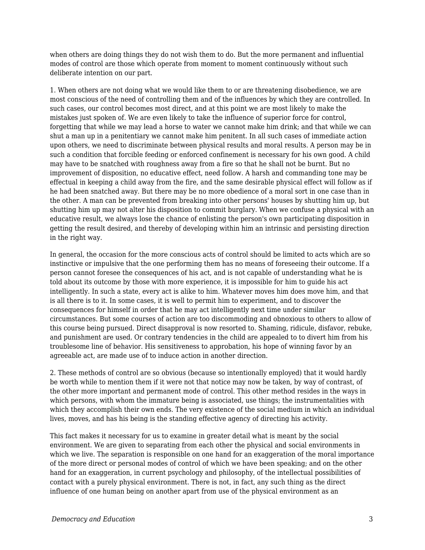when others are doing things they do not wish them to do. But the more permanent and influential modes of control are those which operate from moment to moment continuously without such deliberate intention on our part.

1. When others are not doing what we would like them to or are threatening disobedience, we are most conscious of the need of controlling them and of the influences by which they are controlled. In such cases, our control becomes most direct, and at this point we are most likely to make the mistakes just spoken of. We are even likely to take the influence of superior force for control, forgetting that while we may lead a horse to water we cannot make him drink; and that while we can shut a man up in a penitentiary we cannot make him penitent. In all such cases of immediate action upon others, we need to discriminate between physical results and moral results. A person may be in such a condition that forcible feeding or enforced confinement is necessary for his own good. A child may have to be snatched with roughness away from a fire so that he shall not be burnt. But no improvement of disposition, no educative effect, need follow. A harsh and commanding tone may be effectual in keeping a child away from the fire, and the same desirable physical effect will follow as if he had been snatched away. But there may be no more obedience of a moral sort in one case than in the other. A man can be prevented from breaking into other persons' houses by shutting him up, but shutting him up may not alter his disposition to commit burglary. When we confuse a physical with an educative result, we always lose the chance of enlisting the person's own participating disposition in getting the result desired, and thereby of developing within him an intrinsic and persisting direction in the right way.

In general, the occasion for the more conscious acts of control should be limited to acts which are so instinctive or impulsive that the one performing them has no means of foreseeing their outcome. If a person cannot foresee the consequences of his act, and is not capable of understanding what he is told about its outcome by those with more experience, it is impossible for him to guide his act intelligently. In such a state, every act is alike to him. Whatever moves him does move him, and that is all there is to it. In some cases, it is well to permit him to experiment, and to discover the consequences for himself in order that he may act intelligently next time under similar circumstances. But some courses of action are too discommoding and obnoxious to others to allow of this course being pursued. Direct disapproval is now resorted to. Shaming, ridicule, disfavor, rebuke, and punishment are used. Or contrary tendencies in the child are appealed to to divert him from his troublesome line of behavior. His sensitiveness to approbation, his hope of winning favor by an agreeable act, are made use of to induce action in another direction.

2. These methods of control are so obvious (because so intentionally employed) that it would hardly be worth while to mention them if it were not that notice may now be taken, by way of contrast, of the other more important and permanent mode of control. This other method resides in the ways in which persons, with whom the immature being is associated, use things; the instrumentalities with which they accomplish their own ends. The very existence of the social medium in which an individual lives, moves, and has his being is the standing effective agency of directing his activity.

This fact makes it necessary for us to examine in greater detail what is meant by the social environment. We are given to separating from each other the physical and social environments in which we live. The separation is responsible on one hand for an exaggeration of the moral importance of the more direct or personal modes of control of which we have been speaking; and on the other hand for an exaggeration, in current psychology and philosophy, of the intellectual possibilities of contact with a purely physical environment. There is not, in fact, any such thing as the direct influence of one human being on another apart from use of the physical environment as an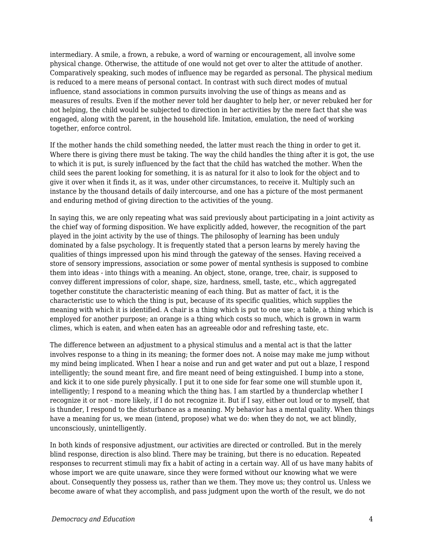intermediary. A smile, a frown, a rebuke, a word of warning or encouragement, all involve some physical change. Otherwise, the attitude of one would not get over to alter the attitude of another. Comparatively speaking, such modes of influence may be regarded as personal. The physical medium is reduced to a mere means of personal contact. In contrast with such direct modes of mutual influence, stand associations in common pursuits involving the use of things as means and as measures of results. Even if the mother never told her daughter to help her, or never rebuked her for not helping, the child would be subjected to direction in her activities by the mere fact that she was engaged, along with the parent, in the household life. Imitation, emulation, the need of working together, enforce control.

If the mother hands the child something needed, the latter must reach the thing in order to get it. Where there is giving there must be taking. The way the child handles the thing after it is got, the use to which it is put, is surely influenced by the fact that the child has watched the mother. When the child sees the parent looking for something, it is as natural for it also to look for the object and to give it over when it finds it, as it was, under other circumstances, to receive it. Multiply such an instance by the thousand details of daily intercourse, and one has a picture of the most permanent and enduring method of giving direction to the activities of the young.

In saying this, we are only repeating what was said previously about participating in a joint activity as the chief way of forming disposition. We have explicitly added, however, the recognition of the part played in the joint activity by the use of things. The philosophy of learning has been unduly dominated by a false psychology. It is frequently stated that a person learns by merely having the qualities of things impressed upon his mind through the gateway of the senses. Having received a store of sensory impressions, association or some power of mental synthesis is supposed to combine them into ideas - into things with a meaning. An object, stone, orange, tree, chair, is supposed to convey different impressions of color, shape, size, hardness, smell, taste, etc., which aggregated together constitute the characteristic meaning of each thing. But as matter of fact, it is the characteristic use to which the thing is put, because of its specific qualities, which supplies the meaning with which it is identified. A chair is a thing which is put to one use; a table, a thing which is employed for another purpose; an orange is a thing which costs so much, which is grown in warm climes, which is eaten, and when eaten has an agreeable odor and refreshing taste, etc.

The difference between an adjustment to a physical stimulus and a mental act is that the latter involves response to a thing in its meaning; the former does not. A noise may make me jump without my mind being implicated. When I hear a noise and run and get water and put out a blaze, I respond intelligently; the sound meant fire, and fire meant need of being extinguished. I bump into a stone, and kick it to one side purely physically. I put it to one side for fear some one will stumble upon it, intelligently; I respond to a meaning which the thing has. I am startled by a thunderclap whether I recognize it or not - more likely, if I do not recognize it. But if I say, either out loud or to myself, that is thunder, I respond to the disturbance as a meaning. My behavior has a mental quality. When things have a meaning for us, we mean (intend, propose) what we do: when they do not, we act blindly, unconsciously, unintelligently.

In both kinds of responsive adjustment, our activities are directed or controlled. But in the merely blind response, direction is also blind. There may be training, but there is no education. Repeated responses to recurrent stimuli may fix a habit of acting in a certain way. All of us have many habits of whose import we are quite unaware, since they were formed without our knowing what we were about. Consequently they possess us, rather than we them. They move us; they control us. Unless we become aware of what they accomplish, and pass judgment upon the worth of the result, we do not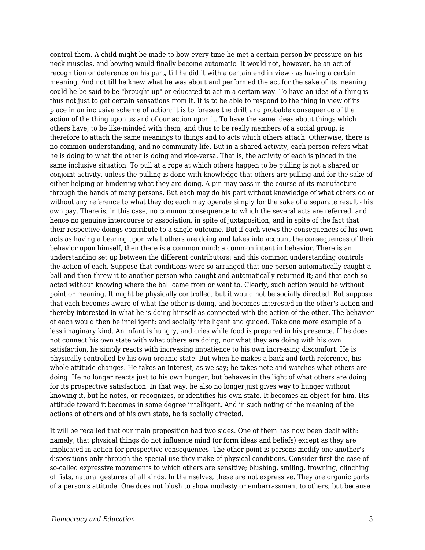control them. A child might be made to bow every time he met a certain person by pressure on his neck muscles, and bowing would finally become automatic. It would not, however, be an act of recognition or deference on his part, till he did it with a certain end in view - as having a certain meaning. And not till he knew what he was about and performed the act for the sake of its meaning could he be said to be "brought up" or educated to act in a certain way. To have an idea of a thing is thus not just to get certain sensations from it. It is to be able to respond to the thing in view of its place in an inclusive scheme of action; it is to foresee the drift and probable consequence of the action of the thing upon us and of our action upon it. To have the same ideas about things which others have, to be like-minded with them, and thus to be really members of a social group, is therefore to attach the same meanings to things and to acts which others attach. Otherwise, there is no common understanding, and no community life. But in a shared activity, each person refers what he is doing to what the other is doing and vice-versa. That is, the activity of each is placed in the same inclusive situation. To pull at a rope at which others happen to be pulling is not a shared or conjoint activity, unless the pulling is done with knowledge that others are pulling and for the sake of either helping or hindering what they are doing. A pin may pass in the course of its manufacture through the hands of many persons. But each may do his part without knowledge of what others do or without any reference to what they do; each may operate simply for the sake of a separate result - his own pay. There is, in this case, no common consequence to which the several acts are referred, and hence no genuine intercourse or association, in spite of juxtaposition, and in spite of the fact that their respective doings contribute to a single outcome. But if each views the consequences of his own acts as having a bearing upon what others are doing and takes into account the consequences of their behavior upon himself, then there is a common mind; a common intent in behavior. There is an understanding set up between the different contributors; and this common understanding controls the action of each. Suppose that conditions were so arranged that one person automatically caught a ball and then threw it to another person who caught and automatically returned it; and that each so acted without knowing where the ball came from or went to. Clearly, such action would be without point or meaning. It might be physically controlled, but it would not be socially directed. But suppose that each becomes aware of what the other is doing, and becomes interested in the other's action and thereby interested in what he is doing himself as connected with the action of the other. The behavior of each would then be intelligent; and socially intelligent and guided. Take one more example of a less imaginary kind. An infant is hungry, and cries while food is prepared in his presence. If he does not connect his own state with what others are doing, nor what they are doing with his own satisfaction, he simply reacts with increasing impatience to his own increasing discomfort. He is physically controlled by his own organic state. But when he makes a back and forth reference, his whole attitude changes. He takes an interest, as we say; he takes note and watches what others are doing. He no longer reacts just to his own hunger, but behaves in the light of what others are doing for its prospective satisfaction. In that way, he also no longer just gives way to hunger without knowing it, but he notes, or recognizes, or identifies his own state. It becomes an object for him. His attitude toward it becomes in some degree intelligent. And in such noting of the meaning of the actions of others and of his own state, he is socially directed.

It will be recalled that our main proposition had two sides. One of them has now been dealt with: namely, that physical things do not influence mind (or form ideas and beliefs) except as they are implicated in action for prospective consequences. The other point is persons modify one another's dispositions only through the special use they make of physical conditions. Consider first the case of so-called expressive movements to which others are sensitive; blushing, smiling, frowning, clinching of fists, natural gestures of all kinds. In themselves, these are not expressive. They are organic parts of a person's attitude. One does not blush to show modesty or embarrassment to others, but because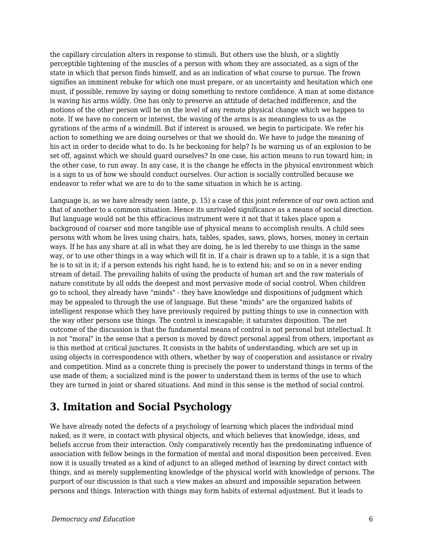the capillary circulation alters in response to stimuli. But others use the blush, or a slightly perceptible tightening of the muscles of a person with whom they are associated, as a sign of the state in which that person finds himself, and as an indication of what course to pursue. The frown signifies an imminent rebuke for which one must prepare, or an uncertainty and hesitation which one must, if possible, remove by saying or doing something to restore confidence. A man at some distance is waving his arms wildly. One has only to preserve an attitude of detached indifference, and the motions of the other person will be on the level of any remote physical change which we happen to note. If we have no concern or interest, the waving of the arms is as meaningless to us as the gyrations of the arms of a windmill. But if interest is aroused, we begin to participate. We refer his action to something we are doing ourselves or that we should do. We have to judge the meaning of his act in order to decide what to do. Is he beckoning for help? Is he warning us of an explosion to be set off, against which we should guard ourselves? In one case, his action means to run toward him; in the other case, to run away. In any case, it is the change he effects in the physical environment which is a sign to us of how we should conduct ourselves. Our action is socially controlled because we endeavor to refer what we are to do to the same situation in which he is acting.

Language is, as we have already seen (ante, p. 15) a case of this joint reference of our own action and that of another to a common situation. Hence its unrivaled significance as a means of social direction. But language would not be this efficacious instrument were it not that it takes place upon a background of coarser and more tangible use of physical means to accomplish results. A child sees persons with whom he lives using chairs, hats, tables, spades, saws, plows, horses, money in certain ways. If he has any share at all in what they are doing, he is led thereby to use things in the same way, or to use other things in a way which will fit in. If a chair is drawn up to a table, it is a sign that he is to sit in it; if a person extends his right hand, he is to extend his; and so on in a never ending stream of detail. The prevailing habits of using the products of human art and the raw materials of nature constitute by all odds the deepest and most pervasive mode of social control. When children go to school, they already have "minds" - they have knowledge and dispositions of judgment which may be appealed to through the use of language. But these "minds" are the organized habits of intelligent response which they have previously required by putting things to use in connection with the way other persons use things. The control is inescapable; it saturates disposition. The net outcome of the discussion is that the fundamental means of control is not personal but intellectual. It is not "moral" in the sense that a person is moved by direct personal appeal from others, important as is this method at critical junctures. It consists in the habits of understanding, which are set up in using objects in correspondence with others, whether by way of cooperation and assistance or rivalry and competition. Mind as a concrete thing is precisely the power to understand things in terms of the use made of them; a socialized mind is the power to understand them in terms of the use to which they are turned in joint or shared situations. And mind in this sense is the method of social control.

## **3. Imitation and Social Psychology**

We have already noted the defects of a psychology of learning which places the individual mind naked, as it were, in contact with physical objects, and which believes that knowledge, ideas, and beliefs accrue from their interaction. Only comparatively recently has the predominating influence of association with fellow beings in the formation of mental and moral disposition been perceived. Even now it is usually treated as a kind of adjunct to an alleged method of learning by direct contact with things, and as merely supplementing knowledge of the physical world with knowledge of persons. The purport of our discussion is that such a view makes an absurd and impossible separation between persons and things. Interaction with things may form habits of external adjustment. But it leads to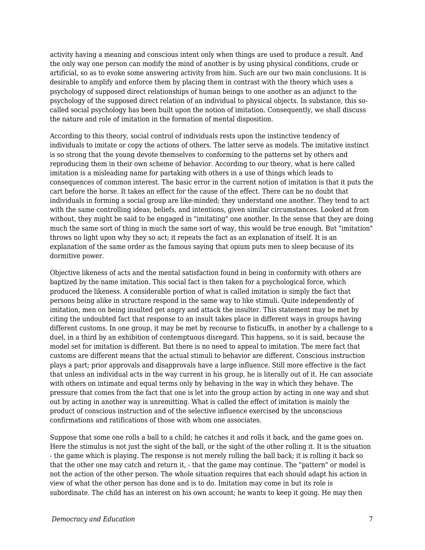activity having a meaning and conscious intent only when things are used to produce a result. And the only way one person can modify the mind of another is by using physical conditions, crude or artificial, so as to evoke some answering activity from him. Such are our two main conclusions. It is desirable to amplify and enforce them by placing them in contrast with the theory which uses a psychology of supposed direct relationships of human beings to one another as an adjunct to the psychology of the supposed direct relation of an individual to physical objects. In substance, this socalled social psychology has been built upon the notion of imitation. Consequently, we shall discuss the nature and role of imitation in the formation of mental disposition.

According to this theory, social control of individuals rests upon the instinctive tendency of individuals to imitate or copy the actions of others. The latter serve as models. The imitative instinct is so strong that the young devote themselves to conforming to the patterns set by others and reproducing them in their own scheme of behavior. According to our theory, what is here called imitation is a misleading name for partaking with others in a use of things which leads to consequences of common interest. The basic error in the current notion of imitation is that it puts the cart before the horse. It takes an effect for the cause of the effect. There can be no doubt that individuals in forming a social group are like-minded; they understand one another. They tend to act with the same controlling ideas, beliefs, and intentions, given similar circumstances. Looked at from without, they might be said to be engaged in "imitating" one another. In the sense that they are doing much the same sort of thing in much the same sort of way, this would be true enough. But "imitation" throws no light upon why they so act; it repeats the fact as an explanation of itself. It is an explanation of the same order as the famous saying that opium puts men to sleep because of its dormitive power.

Objective likeness of acts and the mental satisfaction found in being in conformity with others are baptized by the name imitation. This social fact is then taken for a psychological force, which produced the likeness. A considerable portion of what is called imitation is simply the fact that persons being alike in structure respond in the same way to like stimuli. Quite independently of imitation, men on being insulted get angry and attack the insulter. This statement may be met by citing the undoubted fact that response to an insult takes place in different ways in groups having different customs. In one group, it may be met by recourse to fisticuffs, in another by a challenge to a duel, in a third by an exhibition of contemptuous disregard. This happens, so it is said, because the model set for imitation is different. But there is no need to appeal to imitation. The mere fact that customs are different means that the actual stimuli to behavior are different. Conscious instruction plays a part; prior approvals and disapprovals have a large influence. Still more effective is the fact that unless an individual acts in the way current in his group, he is literally out of it. He can associate with others on intimate and equal terms only by behaving in the way in which they behave. The pressure that comes from the fact that one is let into the group action by acting in one way and shut out by acting in another way is unremitting. What is called the effect of imitation is mainly the product of conscious instruction and of the selective influence exercised by the unconscious confirmations and ratifications of those with whom one associates.

Suppose that some one rolls a ball to a child; he catches it and rolls it back, and the game goes on. Here the stimulus is not just the sight of the ball, or the sight of the other rolling it. It is the situation - the game which is playing. The response is not merely rolling the ball back; it is rolling it back so that the other one may catch and return it, - that the game may continue. The "pattern" or model is not the action of the other person. The whole situation requires that each should adapt his action in view of what the other person has done and is to do. Imitation may come in but its role is subordinate. The child has an interest on his own account; he wants to keep it going. He may then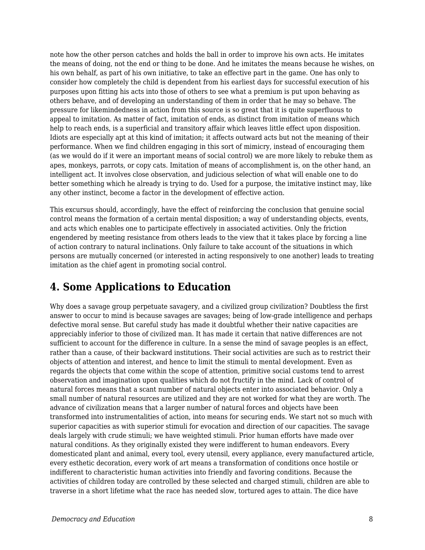note how the other person catches and holds the ball in order to improve his own acts. He imitates the means of doing, not the end or thing to be done. And he imitates the means because he wishes, on his own behalf, as part of his own initiative, to take an effective part in the game. One has only to consider how completely the child is dependent from his earliest days for successful execution of his purposes upon fitting his acts into those of others to see what a premium is put upon behaving as others behave, and of developing an understanding of them in order that he may so behave. The pressure for likemindedness in action from this source is so great that it is quite superfluous to appeal to imitation. As matter of fact, imitation of ends, as distinct from imitation of means which help to reach ends, is a superficial and transitory affair which leaves little effect upon disposition. Idiots are especially apt at this kind of imitation; it affects outward acts but not the meaning of their performance. When we find children engaging in this sort of mimicry, instead of encouraging them (as we would do if it were an important means of social control) we are more likely to rebuke them as apes, monkeys, parrots, or copy cats. Imitation of means of accomplishment is, on the other hand, an intelligent act. It involves close observation, and judicious selection of what will enable one to do better something which he already is trying to do. Used for a purpose, the imitative instinct may, like any other instinct, become a factor in the development of effective action.

This excursus should, accordingly, have the effect of reinforcing the conclusion that genuine social control means the formation of a certain mental disposition; a way of understanding objects, events, and acts which enables one to participate effectively in associated activities. Only the friction engendered by meeting resistance from others leads to the view that it takes place by forcing a line of action contrary to natural inclinations. Only failure to take account of the situations in which persons are mutually concerned (or interested in acting responsively to one another) leads to treating imitation as the chief agent in promoting social control.

#### **4. Some Applications to Education**

Why does a savage group perpetuate savagery, and a civilized group civilization? Doubtless the first answer to occur to mind is because savages are savages; being of low-grade intelligence and perhaps defective moral sense. But careful study has made it doubtful whether their native capacities are appreciably inferior to those of civilized man. It has made it certain that native differences are not sufficient to account for the difference in culture. In a sense the mind of savage peoples is an effect, rather than a cause, of their backward institutions. Their social activities are such as to restrict their objects of attention and interest, and hence to limit the stimuli to mental development. Even as regards the objects that come within the scope of attention, primitive social customs tend to arrest observation and imagination upon qualities which do not fructify in the mind. Lack of control of natural forces means that a scant number of natural objects enter into associated behavior. Only a small number of natural resources are utilized and they are not worked for what they are worth. The advance of civilization means that a larger number of natural forces and objects have been transformed into instrumentalities of action, into means for securing ends. We start not so much with superior capacities as with superior stimuli for evocation and direction of our capacities. The savage deals largely with crude stimuli; we have weighted stimuli. Prior human efforts have made over natural conditions. As they originally existed they were indifferent to human endeavors. Every domesticated plant and animal, every tool, every utensil, every appliance, every manufactured article, every esthetic decoration, every work of art means a transformation of conditions once hostile or indifferent to characteristic human activities into friendly and favoring conditions. Because the activities of children today are controlled by these selected and charged stimuli, children are able to traverse in a short lifetime what the race has needed slow, tortured ages to attain. The dice have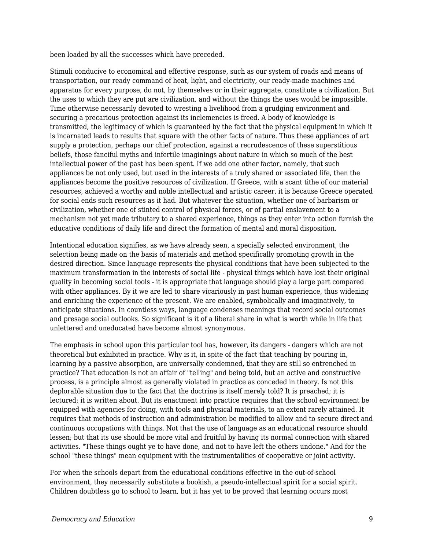been loaded by all the successes which have preceded.

Stimuli conducive to economical and effective response, such as our system of roads and means of transportation, our ready command of heat, light, and electricity, our ready-made machines and apparatus for every purpose, do not, by themselves or in their aggregate, constitute a civilization. But the uses to which they are put are civilization, and without the things the uses would be impossible. Time otherwise necessarily devoted to wresting a livelihood from a grudging environment and securing a precarious protection against its inclemencies is freed. A body of knowledge is transmitted, the legitimacy of which is guaranteed by the fact that the physical equipment in which it is incarnated leads to results that square with the other facts of nature. Thus these appliances of art supply a protection, perhaps our chief protection, against a recrudescence of these superstitious beliefs, those fanciful myths and infertile imaginings about nature in which so much of the best intellectual power of the past has been spent. If we add one other factor, namely, that such appliances be not only used, but used in the interests of a truly shared or associated life, then the appliances become the positive resources of civilization. If Greece, with a scant tithe of our material resources, achieved a worthy and noble intellectual and artistic career, it is because Greece operated for social ends such resources as it had. But whatever the situation, whether one of barbarism or civilization, whether one of stinted control of physical forces, or of partial enslavement to a mechanism not yet made tributary to a shared experience, things as they enter into action furnish the educative conditions of daily life and direct the formation of mental and moral disposition.

Intentional education signifies, as we have already seen, a specially selected environment, the selection being made on the basis of materials and method specifically promoting growth in the desired direction. Since language represents the physical conditions that have been subjected to the maximum transformation in the interests of social life - physical things which have lost their original quality in becoming social tools - it is appropriate that language should play a large part compared with other appliances. By it we are led to share vicariously in past human experience, thus widening and enriching the experience of the present. We are enabled, symbolically and imaginatively, to anticipate situations. In countless ways, language condenses meanings that record social outcomes and presage social outlooks. So significant is it of a liberal share in what is worth while in life that unlettered and uneducated have become almost synonymous.

The emphasis in school upon this particular tool has, however, its dangers - dangers which are not theoretical but exhibited in practice. Why is it, in spite of the fact that teaching by pouring in, learning by a passive absorption, are universally condemned, that they are still so entrenched in practice? That education is not an affair of "telling" and being told, but an active and constructive process, is a principle almost as generally violated in practice as conceded in theory. Is not this deplorable situation due to the fact that the doctrine is itself merely told? It is preached; it is lectured; it is written about. But its enactment into practice requires that the school environment be equipped with agencies for doing, with tools and physical materials, to an extent rarely attained. It requires that methods of instruction and administration be modified to allow and to secure direct and continuous occupations with things. Not that the use of language as an educational resource should lessen; but that its use should be more vital and fruitful by having its normal connection with shared activities. "These things ought ye to have done, and not to have left the others undone." And for the school "these things" mean equipment with the instrumentalities of cooperative or joint activity.

For when the schools depart from the educational conditions effective in the out-of-school environment, they necessarily substitute a bookish, a pseudo-intellectual spirit for a social spirit. Children doubtless go to school to learn, but it has yet to be proved that learning occurs most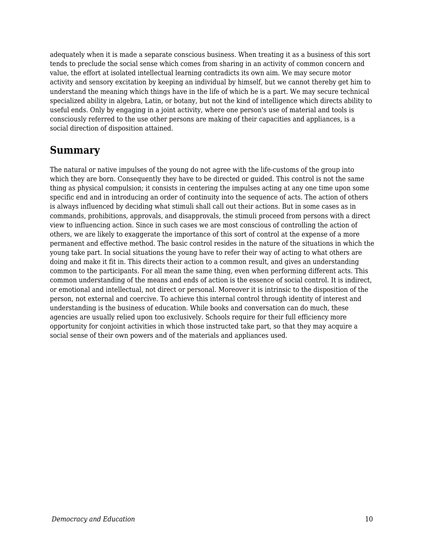adequately when it is made a separate conscious business. When treating it as a business of this sort tends to preclude the social sense which comes from sharing in an activity of common concern and value, the effort at isolated intellectual learning contradicts its own aim. We may secure motor activity and sensory excitation by keeping an individual by himself, but we cannot thereby get him to understand the meaning which things have in the life of which he is a part. We may secure technical specialized ability in algebra, Latin, or botany, but not the kind of intelligence which directs ability to useful ends. Only by engaging in a joint activity, where one person's use of material and tools is consciously referred to the use other persons are making of their capacities and appliances, is a social direction of disposition attained.

#### **Summary**

The natural or native impulses of the young do not agree with the life-customs of the group into which they are born. Consequently they have to be directed or guided. This control is not the same thing as physical compulsion; it consists in centering the impulses acting at any one time upon some specific end and in introducing an order of continuity into the sequence of acts. The action of others is always influenced by deciding what stimuli shall call out their actions. But in some cases as in commands, prohibitions, approvals, and disapprovals, the stimuli proceed from persons with a direct view to influencing action. Since in such cases we are most conscious of controlling the action of others, we are likely to exaggerate the importance of this sort of control at the expense of a more permanent and effective method. The basic control resides in the nature of the situations in which the young take part. In social situations the young have to refer their way of acting to what others are doing and make it fit in. This directs their action to a common result, and gives an understanding common to the participants. For all mean the same thing, even when performing different acts. This common understanding of the means and ends of action is the essence of social control. It is indirect, or emotional and intellectual, not direct or personal. Moreover it is intrinsic to the disposition of the person, not external and coercive. To achieve this internal control through identity of interest and understanding is the business of education. While books and conversation can do much, these agencies are usually relied upon too exclusively. Schools require for their full efficiency more opportunity for conjoint activities in which those instructed take part, so that they may acquire a social sense of their own powers and of the materials and appliances used.